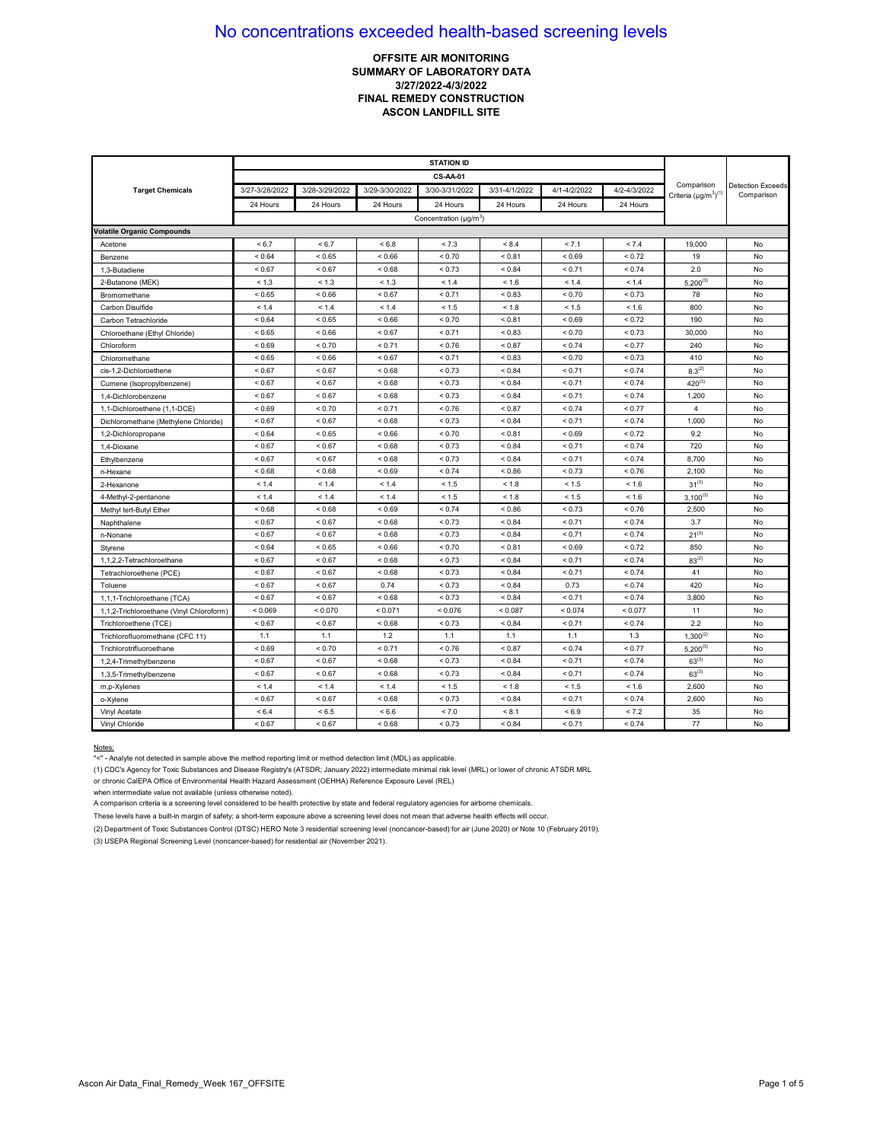## **OFFSITE AIR MONITORING SUMMARY OF LABORATORY DATA 3/27/2022-4/3/2022 FINAL REMEDY CONSTRUCTION ASCON LANDFILL SITE**

|                                          |                |                |                | <b>CS-AA-01</b>                    |               |              |              |                                            |                                        |
|------------------------------------------|----------------|----------------|----------------|------------------------------------|---------------|--------------|--------------|--------------------------------------------|----------------------------------------|
| <b>Target Chemicals</b>                  | 3/27-3/28/2022 | 3/28-3/29/2022 | 3/29-3/30/2022 | 3/30-3/31/2022                     | 3/31-4/1/2022 | 4/1-4/2/2022 | 4/2-4/3/2022 | Comparison<br>Criteria $(\mu q/m^3)^{(1)}$ | <b>Detection Exceeds</b><br>Comparison |
|                                          | 24 Hours       | 24 Hours       | 24 Hours       | 24 Hours                           | 24 Hours      | 24 Hours     | 24 Hours     |                                            |                                        |
|                                          |                |                |                | Concentration (µg/m <sup>3</sup> ) |               |              |              |                                            |                                        |
| <b>Volatile Organic Compounds</b>        |                |                |                |                                    |               |              |              |                                            |                                        |
| Acetone                                  | < 6.7          | < 6.7          | < 6.8          | < 7.3                              | < 8.4         | < 7.1        | < 7.4        | 19,000                                     | No                                     |
| Benzene                                  | ${}_{0.64}$    | < 0.65         | ${}_{0.66}$    | < 0.70                             | ${}_{0.81}$   | ${}_{0.69}$  | ${}_{0.72}$  | 19                                         | No                                     |
| 1,3-Butadiene                            | < 0.67         | < 0.67         | ${}_{0.68}$    | < 0.73                             | < 0.84        | < 0.71       | < 0.74       | 2.0                                        | No                                     |
| 2-Butanone (MEK)                         | < 1.3          | < 1.3          | < 1.3          | < 1.4                              | < 1.6         | < 1.4        | < 1.4        | $5,200^{(3)}$                              | No                                     |
| Bromomethane                             | < 0.65         | < 0.66         | < 0.67         | < 0.71                             | ${}_{0.83}$   | < 0.70       | < 0.73       | 78                                         | No                                     |
| Carbon Disulfide                         | < 1.4          | 1.4            | < 1.4          | < 1.5                              | < 1.8         | < 1.5        | < 1.6        | 800                                        | No                                     |
| Carbon Tetrachloride                     | < 0.64         | < 0.65         | ${}_{<0.66}$   | < 0.70                             | ${}_{0.81}$   | < 0.69       | < 0.72       | 190                                        | No                                     |
| Chloroethane (Ethyl Chloride)            | ${}< 0.65$     | < 0.66         | ${}_{0.67}$    | < 0.71                             | ${}_{0.83}$   | ${}_{0.70}$  | < 0.73       | 30,000                                     | No                                     |
| Chloroform                               | ${}_{0.69}$    | ${}_{0.70}$    | < 0.71         | < 0.76                             | ${}_{0.87}$   | < 0.74       | < 0.77       | 240                                        | No                                     |
| Chloromethane                            | ${}_{0.65}$    | ${}_{0.66}$    | ${}_{0.67}$    | < 0.71                             | ${}_{0.83}$   | ${}_{0.70}$  | ${}_{0.73}$  | 410                                        | No                                     |
| cis-1,2-Dichloroethene                   | < 0.67         | < 0.67         | ${}_{<0.68}$   | < 0.73                             | < 0.84        | < 0.71       | < 0.74       | $8.3^{(2)}$                                | No                                     |
| Cumene (Isopropylbenzene)                | < 0.67         | < 0.67         | ${}_{<0.68}$   | < 0.73                             | < 0.84        | < 0.71       | < 0.74       | $420^{(3)}$                                | No                                     |
| 1.4-Dichlorobenzene                      | < 0.67         | < 0.67         | ${}_{<0.68}$   | < 0.73                             | ${}_{0.84}$   | < 0.71       | < 0.74       | 1,200                                      | No                                     |
| 1,1-Dichloroethene (1,1-DCE)             | ${}_{0.69}$    | < 0.70         | < 0.71         | < 0.76                             | < 0.87        | < 0.74       | < 0.77       | 4                                          | No                                     |
| Dichloromethane (Methylene Chloride)     | ${}_{0.67}$    | ${}_{0.67}$    | ${}_{0.68}$    | < 0.73                             | ${}_{0.84}$   | < 0.71       | ${}_{0.74}$  | 1,000                                      | No                                     |
| 1,2-Dichloropropane                      | ${}_{0.64}$    | < 0.65         | ${}_{0.66}$    | < 0.70                             | < 0.81        | ${}_{0.69}$  | < 0.72       | 9.2                                        | No                                     |
| 1.4-Dioxane                              | < 0.67         | < 0.67         | ${}_{0.68}$    | < 0.73                             | ${}_{0.84}$   | < 0.71       | < 0.74       | 720                                        | No                                     |
| Ethylbenzene                             | < 0.67         | < 0.67         | ${}_{<0.68}$   | < 0.73                             | ${}_{0.84}$   | < 0.71       | < 0.74       | 8,700                                      | No                                     |
| n-Hexane                                 | < 0.68         | < 0.68         | < 0.69         | < 0.74                             | < 0.86        | < 0.73       | < 0.76       | 2,100                                      | No                                     |
| 2-Hexanone                               | < 1.4          | < 1.4          | < 1.4          | < 1.5                              | < 1.8         | < 1.5        | < 1.6        | $31^{(3)}$                                 | No                                     |
| 4-Methyl-2-pentanone                     | < 1.4          | < 1.4          | < 1.4          | < 1.5                              | < 1.8         | < 1.5        | < 1.6        | $3,100^{(3)}$                              | No                                     |
| Methyl tert-Butyl Ether                  | < 0.68         | ${}_{0.68}$    | ${}_{0.69}$    | < 0.74                             | < 0.86        | < 0.73       | ${}_{0.76}$  | 2,500                                      | No                                     |
| Naphthalene                              | < 0.67         | < 0.67         | ${}_{<0.68}$   | < 0.73                             | < 0.84        | < 0.71       | < 0.74       | 3.7                                        | No                                     |
| n-Nonane                                 | < 0.67         | < 0.67         | ${}_{0.68}$    | < 0.73                             | ${}_{0.84}$   | < 0.71       | < 0.74       | $21^{(3)}$                                 | No                                     |
| Styrene                                  | ${}_{0.64}$    | < 0.65         | < 0.66         | < 0.70                             | < 0.81        | < 0.69       | < 0.72       | 850                                        | No                                     |
| 1,1,2,2-Tetrachloroethane                | < 0.67         | < 0.67         | < 0.68         | < 0.73                             | < 0.84        | < 0.71       | < 0.74       | $83^{(2)}$                                 | No                                     |
| Tetrachloroethene (PCE)                  | < 0.67         | < 0.67         | ${}_{<0.68}$   | < 0.73                             | ${}_{0.84}$   | < 0.71       | < 0.74       | 41                                         | No                                     |
| Toluene                                  | ${}_{0.67}$    | < 0.67         | 0.74           | < 0.73                             | ${}_{0.84}$   | 0.73         | < 0.74       | 420                                        | No                                     |
| 1,1,1-Trichloroethane (TCA)              | < 0.67         | < 0.67         | ${}_{0.68}$    | < 0.73                             | ${}_{0.84}$   | < 0.71       | ${}_{0.74}$  | 3,800                                      | No                                     |
| 1,1,2-Trichloroethane (Vinyl Chloroform) | < 0.069        | ${}_{0.070}$   | < 0.071        | < 0.076                            | < 0.087       | < 0.074      | < 0.077      | 11                                         | No                                     |
| Trichloroethene (TCE)                    | ${}_{0.67}$    | ${}_{0.67}$    | ${}_{0.68}$    | < 0.73                             | ${}_{0.84}$   | < 0.71       | < 0.74       | 2.2                                        | No                                     |
| Trichlorofluoromethane (CFC 11)          | 1.1            | 1.1            | 1.2            | 1.1                                | 1.1           | 1.1          | 1.3          | $1,300^{(2)}$                              | No                                     |
| Trichlorotrifluoroethane                 | < 0.69         | < 0.70         | < 0.71         | < 0.76                             | < 0.87        | < 0.74       | < 0.77       | $5,200^{(3)}$                              | No                                     |
| 1,2,4-Trimethylbenzene                   | < 0.67         | < 0.67         | ${}_{<0.68}$   | < 0.73                             | < 0.84        | < 0.71       | < 0.74       | $63^{(3)}$                                 | No                                     |
| 1,3,5-Trimethylbenzene                   | ${}_{0.67}$    | < 0.67         | ${}_{0.68}$    | < 0.73                             | ${}_{0.84}$   | < 0.71       | < 0.74       | $63^{(3)}$                                 | No                                     |
| m,p-Xylenes                              | < 1.4          | < 1.4          | < 1.4          | < 1.5                              | < 1.8         | < 1.5        | < 1.6        | 2,600                                      | No                                     |
| o-Xylene                                 | ${}_{0.67}$    | < 0.67         | ${}_{0.68}$    | < 0.73                             | ${}_{0.84}$   | < 0.71       | < 0.74       | 2,600                                      | No                                     |
| Vinyl Acetate                            | ${}_{5.4}$     | < 6.5          | ${}< 6.6$      | < 7.0                              | < 8.1         | ${}_{6.9}$   | < 7.2        | 35                                         | No                                     |
| Vinyl Chloride                           | ${}_{0.67}$    | ${}_{0.67}$    | < 0.68         | < 0.73                             | ${}_{0.84}$   | < 0.71       | ${}_{0.74}$  | 77                                         | No                                     |

#### Notes:

"<" - Analyte not detected in sample above the method reporting limit or method detection limit (MDL) as applicable.

(1) CDC's Agency for Toxic Substances and Disease Registry's (ATSDR; January 2022) intermediate minimal risk level (MRL) or lower of chronic ATSDR MRL

or chronic CalEPA Office of Environmental Health Hazard Assessment (OEHHA) Reference Exposure Level (REL)

when intermediate value not available (unless otherwise noted).

A comparison criteria is a screening level considered to be health protective by state and federal regulatory agencies for airborne chemicals.

These levels have a built-in margin of safety; a short-term exposure above a screening level does not mean that adverse health effects will occur.

(2) Department of Toxic Substances Control (DTSC) HERO Note 3 residential screening level (noncancer-based) for air (June 2020) or Note 10 (February 2019).

(3) USEPA Regional Screening Level (noncancer-based) for residential air (November 2021).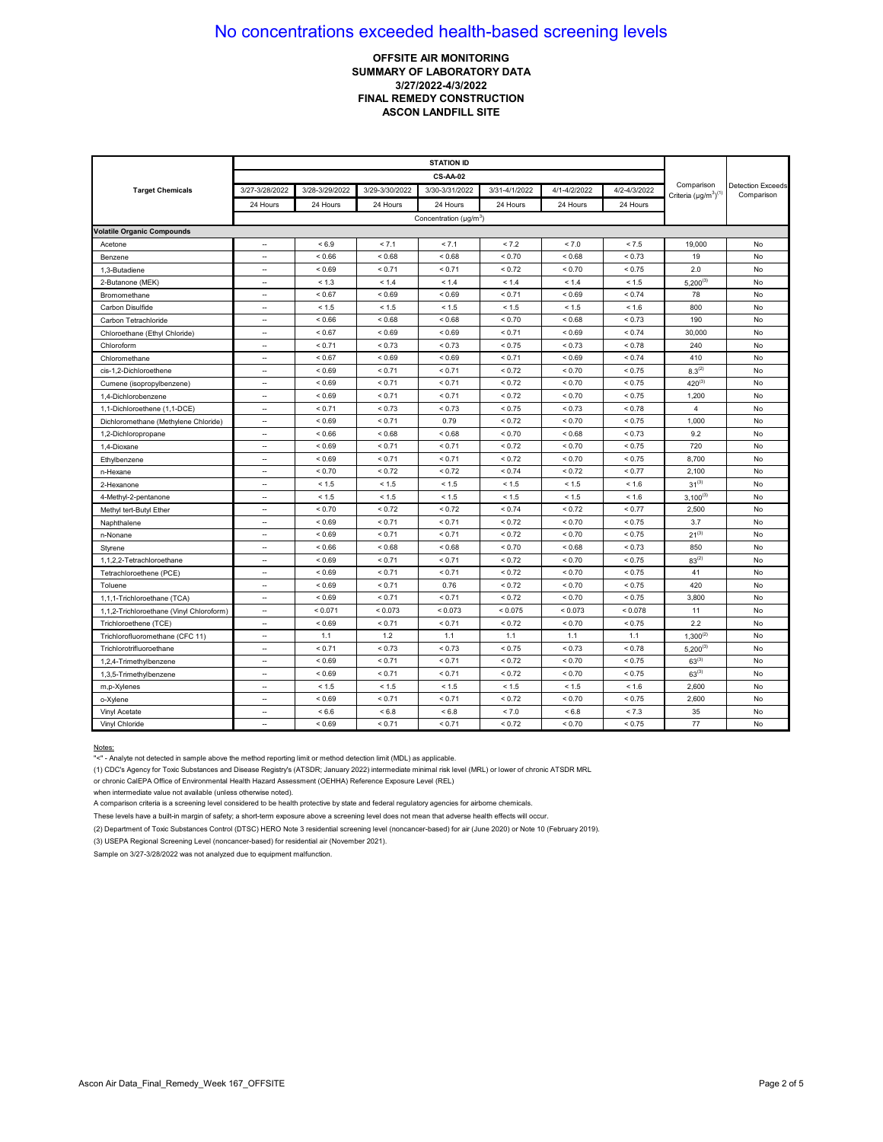## **OFFSITE AIR MONITORING** SUMMARY OF LABORATORY DATA 3/27/2022-4/3/2022 FINAL REMEDY CONSTRUCTION **ASCON LANDFILL SITE**

| <b>Target Chemicals</b>                  | 3/27-3/28/2022           | 3/28-3/29/2022 | 3/29-3/30/2022 | 3/30-3/31/2022                     | 3/31-4/1/2022 | 4/1-4/2/2022 | 4/2-4/3/2022 | Comparison<br>Criteria $(\mu q/m^3)^{(1)}$ | <b>Detection Exceeds</b><br>Comparison |
|------------------------------------------|--------------------------|----------------|----------------|------------------------------------|---------------|--------------|--------------|--------------------------------------------|----------------------------------------|
|                                          | 24 Hours                 | 24 Hours       | 24 Hours       | 24 Hours                           | 24 Hours      | 24 Hours     | 24 Hours     |                                            |                                        |
|                                          |                          |                |                | Concentration (µg/m <sup>3</sup> ) |               |              |              |                                            |                                        |
| <b>Volatile Organic Compounds</b>        |                          |                |                |                                    |               |              |              |                                            |                                        |
| Acetone                                  | $\sim$                   | < 6.9          | < 7.1          | < 7.1                              | < 7.2         | < 7.0        | < 7.5        | 19,000                                     | No                                     |
| Benzene                                  | --                       | ${}_{0.66}$    | ${}_{0.68}$    | ${}_{0.68}$                        | ${}_{0.70}$   | ${}_{0.68}$  | ${}_{0.73}$  | 19                                         | No                                     |
| 1,3-Butadiene                            | --                       | ${}_{0.69}$    | < 0.71         | < 0.71                             | < 0.72        | ${}_{0.70}$  | < 0.75       | 2.0                                        | No                                     |
| 2-Butanone (MEK)                         | ц,                       | < 1.3          | < 1.4          | < 1.4                              | < 1.4         | < 1.4        | < 1.5        | $5,200^{(3)}$                              | No                                     |
| Bromomethane                             | $\overline{\phantom{a}}$ | < 0.67         | ${}_{<0.69}$   | < 0.69                             | < 0.71        | < 0.69       | < 0.74       | 78                                         | No                                     |
| Carbon Disulfide                         | $\overline{a}$           | < 1.5          | < 1.5          | < 1.5                              | < 1.5         | < 1.5        | < 1.6        | 800                                        | No                                     |
| Carbon Tetrachloride                     | $\overline{\phantom{a}}$ | ${}_{0.66}$    | ${}_{0.68}$    | < 0.68                             | < 0.70        | ${}_{0.68}$  | < 0.73       | 190                                        | No                                     |
| Chloroethane (Ethyl Chloride)            | $\overline{a}$           | < 0.67         | ${}_{0.69}$    | ${}_{0.69}$                        | < 0.71        | ${}_{0.69}$  | < 0.74       | 30,000                                     | No                                     |
| Chloroform                               | ц,                       | < 0.71         | < 0.73         | < 0.73                             | < 0.75        | < 0.73       | ${}_{0.78}$  | 240                                        | No                                     |
| Chloromethane                            | $\overline{\phantom{a}}$ | ${}_{0.67}$    | ${}_{0.69}$    | ${}_{0.69}$                        | < 0.71        | ${}_{0.69}$  | ${}_{0.74}$  | 410                                        | No                                     |
| cis-1,2-Dichloroethene                   | $\overline{\phantom{a}}$ | ${}_{0.69}$    | < 0.71         | < 0.71                             | < 0.72        | < 0.70       | < 0.75       | $8.3^{(2)}$                                | No                                     |
| Cumene (isopropylbenzene)                | $\overline{\phantom{a}}$ | ${}_{<0.69}$   | < 0.71         | < 0.71                             | < 0.72        | < 0.70       | < 0.75       | $420^{(3)}$                                | No                                     |
| 1.4-Dichlorobenzene                      | ц,                       | < 0.69         | < 0.71         | < 0.71                             | < 0.72        | < 0.70       | < 0.75       | 1,200                                      | No                                     |
| 1,1-Dichloroethene (1,1-DCE)             | $\overline{\phantom{a}}$ | < 0.71         | < 0.73         | < 0.73                             | < 0.75        | ${}_{0.73}$  | ${}_{0.78}$  | 4                                          | No                                     |
| Dichloromethane (Methylene Chloride)     | ÷.                       | ${}_{0.69}$    | < 0.71         | 0.79                               | ${}_{0.72}$   | ${}_{0.70}$  | ${}_{0.75}$  | 1,000                                      | No                                     |
| 1,2-Dichloropropane                      | $\sim$                   | < 0.66         | ${}_{0.68}$    | 0.68                               | < 0.70        | ${}_{0.68}$  | < 0.73       | 9.2                                        | No                                     |
| 1.4-Dioxane                              | н.                       | ${}_{0.69}$    | < 0.71         | < 0.71                             | ${}_{0.72}$   | ${}_{0.70}$  | ${}_{0.75}$  | 720                                        | No                                     |
| Ethylbenzene                             | $\overline{\phantom{a}}$ | ${}_{0.69}$    | < 0.71         | < 0.71                             | < 0.72        | < 0.70       | < 0.75       | 8,700                                      | No                                     |
| n-Hexane                                 | $\overline{\phantom{a}}$ | < 0.70         | < 0.72         | < 0.72                             | < 0.74        | < 0.72       | < 0.77       | 2,100                                      | No                                     |
| 2-Hexanone                               |                          | < 1.5          | < 1.5          | < 1.5                              | < 1.5         | < 1.5        | < 1.6        | $31^{(3)}$                                 | No                                     |
| 4-Methyl-2-pentanone                     | $\overline{\phantom{a}}$ | < 1.5          | < 1.5          | < 1.5                              | < 1.5         | < 1.5        | < 1.6        | $3,100^{(3)}$                              | No                                     |
| Methyl tert-Butyl Ether                  | $\overline{a}$           | ${}_{0.70}$    | < 0.72         | < 0.72                             | ${}_{0.74}$   | < 0.72       | < 0.77       | 2,500                                      | No                                     |
| Naphthalene                              | $\overline{\phantom{a}}$ | ${}_{0.69}$    | < 0.71         | < 0.71                             | < 0.72        | < 0.70       | < 0.75       | 3.7                                        | No                                     |
| n-Nonane                                 | ц,                       | ${}_{0.69}$    | < 0.71         | < 0.71                             | ${}_{0.72}$   | ${}_{0.70}$  | < 0.75       | $21^{(3)}$                                 | No                                     |
| Styrene                                  | $\overline{\phantom{a}}$ | ${}_{0.66}$    | < 0.68         | < 0.68                             | < 0.70        | ${}_{<0.68}$ | < 0.73       | 850                                        | No                                     |
| 1,1,2,2-Tetrachloroethane                | $\sim$                   | ${}_{<0.69}$   | < 0.71         | < 0.71                             | < 0.72        | < 0.70       | < 0.75       | $83^{(2)}$                                 | No                                     |
| Tetrachloroethene (PCE)                  | н.                       | ${}_{0.69}$    | < 0.71         | < 0.71                             | < 0.72        | < 0.70       | < 0.75       | 41                                         | No                                     |
| Toluene                                  | $\overline{\phantom{a}}$ | ${}_{0.69}$    | < 0.71         | 0.76                               | < 0.72        | ${}_{0.70}$  | ${}_{0.75}$  | 420                                        | No                                     |
| 1,1,1-Trichloroethane (TCA)              | $\ddot{\phantom{a}}$     | ${}_{0.69}$    | < 0.71         | < 0.71                             | < 0.72        | < 0.70       | ${}_{0.75}$  | 3,800                                      | No                                     |
| 1,1,2-Trichloroethane (Vinyl Chloroform) | $\sim$                   | < 0.071        | < 0.073        | < 0.073                            | < 0.075       | < 0.073      | < 0.078      | 11                                         | No                                     |
| Trichloroethene (TCE)                    | ц,                       | ${}_{0.69}$    | < 0.71         | < 0.71                             | < 0.72        | ${}_{0.70}$  | ${}_{0.75}$  | 2.2                                        | No                                     |
| Trichlorofluoromethane (CFC 11)          | $\overline{\phantom{a}}$ | 1.1            | 1.2            | 1.1                                | 1.1           | 1.1          | 1.1          | $1,300^{(2)}$                              | No                                     |
| Trichlorotrifluoroethane                 | ц,                       | < 0.71         | < 0.73         | < 0.73                             | < 0.75        | < 0.73       | < 0.78       | $5,200^{(3)}$                              | No                                     |
| 1,2,4-Trimethylbenzene                   | $\overline{\phantom{a}}$ | ${}_{0.69}$    | < 0.71         | < 0.71                             | < 0.72        | < 0.70       | < 0.75       | $63^{(3)}$                                 | No                                     |
| 1,3,5-Trimethylbenzene                   | $\overline{\phantom{a}}$ | ${}_{<0.69}$   | < 0.71         | < 0.71                             | < 0.72        | ${}_{0.70}$  | < 0.75       | $63^{(3)}$                                 | No                                     |
| m,p-Xylenes                              | $\sim$                   | < 1.5          | < 1.5          | < 1.5                              | < 1.5         | < 1.5        | < 1.6        | 2,600                                      | No                                     |
| o-Xylene                                 | ш.                       | ${}_{0.69}$    | < 0.71         | < 0.71                             | ${}_{0.72}$   | < 0.70       | ${}_{0.75}$  | 2,600                                      | No                                     |
| Vinyl Acetate                            | ц,                       | < 6.6          | ${}< 6.8$      | < 6.8                              | < 7.0         | < 6.8        | < 7.3        | 35                                         | No                                     |
| Vinyl Chloride                           | $\overline{\phantom{a}}$ | ${}_{0.69}$    | < 0.71         | < 0.71                             | < 0.72        | ${}_{0.70}$  | ${}_{0.75}$  | 77                                         | No                                     |

#### Notes:

(1) CDC's Agency for Toxic Substances and Disease Registry's (ATSDR; January 2022) intermediate minimal risk level (MRL) or lower of chronic ATSDR MRL

or chronic CalEPA Office of Environmental Health Hazard Assessment (OEHHA) Reference Exposure Level (REL)

when intermediate value not available (unless otherwise noted).

A comparison criteria is a screening level considered to be health protective by state and federal regulatory agencies for airborne chemicals.

These levels have a built-in margin of safety; a short-term exposure above a screening level does not mean that adverse health effects will occur.

(2) Department of Toxic Substances Control (DTSC) HERO Note 3 residential screening level (noncancer-based) for air (June 2020) or Note 10 (February 2019).

(3) USEPA Regional Screening Level (noncancer-based) for residential air (November 2021).

Sample on 3/27-3/28/2022 was not analyzed due to equipment malfunction.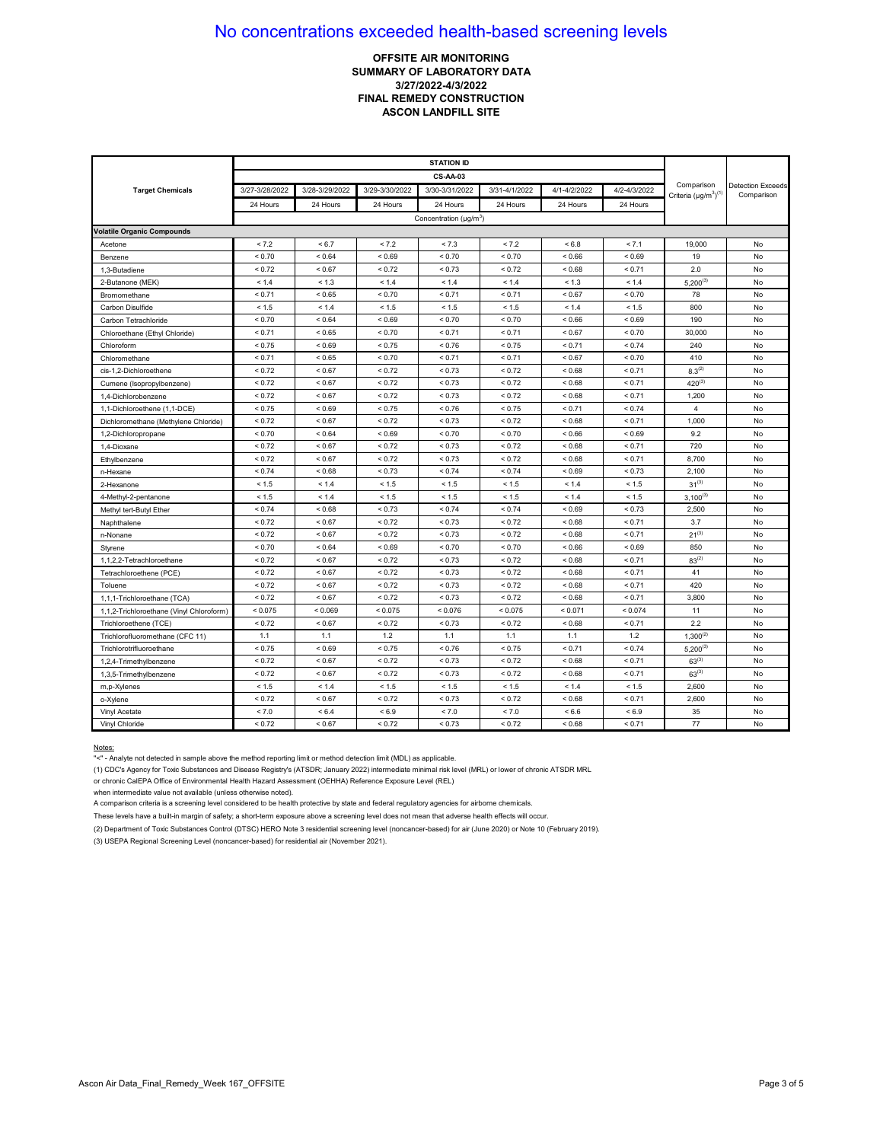## **OFFSITE AIR MONITORING SUMMARY OF LABORATORY DATA 3/27/2022-4/3/2022 FINAL REMEDY CONSTRUCTION ASCON LANDFILL SITE**

|                                          |                |                |                | <b>CS-AA-03</b>                    |               |              |              |                                            |                                        |
|------------------------------------------|----------------|----------------|----------------|------------------------------------|---------------|--------------|--------------|--------------------------------------------|----------------------------------------|
| <b>Target Chemicals</b>                  | 3/27-3/28/2022 | 3/28-3/29/2022 | 3/29-3/30/2022 | 3/30-3/31/2022                     | 3/31-4/1/2022 | 4/1-4/2/2022 | 4/2-4/3/2022 | Comparison<br>Criteria $(\mu q/m^3)^{(1)}$ | <b>Detection Exceeds</b><br>Comparison |
|                                          | 24 Hours       | 24 Hours       | 24 Hours       | 24 Hours                           | 24 Hours      | 24 Hours     | 24 Hours     |                                            |                                        |
|                                          |                |                |                | Concentration (µg/m <sup>3</sup> ) |               |              |              |                                            |                                        |
| <b>Volatile Organic Compounds</b>        |                |                |                |                                    |               |              |              |                                            |                                        |
| Acetone                                  | < 7.2          | < 6.7          | < 7.2          | < 7.3                              | < 7.2         | < 6.8        | < 7.1        | 19,000                                     | No                                     |
| Benzene                                  | ${}_{0.70}$    | < 0.64         | ${}_{0.69}$    | < 0.70                             | < 0.70        | ${}_{0.66}$  | ${}_{0.69}$  | 19                                         | No                                     |
| 1,3-Butadiene                            | < 0.72         | < 0.67         | < 0.72         | < 0.73                             | < 0.72        | ${}_{0.68}$  | < 0.71       | 2.0                                        | No                                     |
| 2-Butanone (MEK)                         | < 1.4          | < 1.3          | < 1.4          | < 1.4                              | < 1.4         | < 1.3        | < 1.4        | $5,200^{(3)}$                              | No                                     |
| Bromomethane                             | < 0.71         | < 0.65         | < 0.70         | < 0.71                             | < 0.71        | < 0.67       | ${}_{0.70}$  | 78                                         | No                                     |
| Carbon Disulfide                         | < 1.5          | < 1.4          | < 1.5          | < 1.5                              | < 1.5         | < 1.4        | < 1.5        | 800                                        | No                                     |
| Carbon Tetrachloride                     | < 0.70         | ${}_{0.64}$    | ${}_{<0.69}$   | < 0.70                             | ${}_{0.70}$   | < 0.66       | ${}_{0.69}$  | 190                                        | No                                     |
| Chloroethane (Ethyl Chloride)            | < 0.71         | < 0.65         | ${}_{0.70}$    | < 0.71                             | < 0.71        | < 0.67       | < 0.70       | 30,000                                     | No                                     |
| Chloroform                               | < 0.75         | ${}_{0.69}$    | < 0.75         | < 0.76                             | < 0.75        | < 0.71       | < 0.74       | 240                                        | No                                     |
| Chloromethane                            | < 0.71         | ${}_{<0.65}$   | ${}_{0.70}$    | < 0.71                             | < 0.71        | ${}_{0.67}$  | ${}_{0.70}$  | 410                                        | No                                     |
| cis-1,2-Dichloroethene                   | < 0.72         | < 0.67         | < 0.72         | < 0.73                             | < 0.72        | < 0.68       | < 0.71       | $8.3^{(2)}$                                | No                                     |
| Cumene (Isopropylbenzene)                | < 0.72         | < 0.67         | < 0.72         | < 0.73                             | < 0.72        | < 0.68       | < 0.71       | $420^{(3)}$                                | No                                     |
| 1.4-Dichlorobenzene                      | < 0.72         | < 0.67         | < 0.72         | < 0.73                             | < 0.72        | < 0.68       | < 0.71       | 1,200                                      | No                                     |
| 1,1-Dichloroethene (1,1-DCE)             | < 0.75         | ${}_{0.69}$    | < 0.75         | < 0.76                             | < 0.75        | < 0.71       | < 0.74       | 4                                          | No                                     |
| Dichloromethane (Methylene Chloride)     | < 0.72         | ${}_{0.67}$    | < 0.72         | < 0.73                             | ${}_{0.72}$   | ${}_{0.68}$  | < 0.71       | 1,000                                      | No                                     |
| 1,2-Dichloropropane                      | < 0.70         | ${}_{0.64}$    | ${}_{0.69}$    | < 0.70                             | < 0.70        | ${}_{0.66}$  | ${}_{0.69}$  | 9.2                                        | No                                     |
| 1.4-Dioxane                              | < 0.72         | < 0.67         | < 0.72         | < 0.73                             | ${}_{0.72}$   | ${}_{0.68}$  | < 0.71       | 720                                        | No                                     |
| Ethylbenzene                             | < 0.72         | < 0.67         | < 0.72         | < 0.73                             | < 0.72        | < 0.68       | < 0.71       | 8,700                                      | No                                     |
| n-Hexane                                 | < 0.74         | < 0.68         | < 0.73         | < 0.74                             | < 0.74        | < 0.69       | < 0.73       | 2,100                                      | No                                     |
| 2-Hexanone                               | < 1.5          | < 1.4          | < 1.5          | < 1.5                              | < 1.5         | < 1.4        | < 1.5        | $31^{(3)}$                                 | No                                     |
| 4-Methyl-2-pentanone                     | < 1.5          | < 1.4          | < 1.5          | < 1.5                              | < 1.5         | < 1.4        | < 1.5        | $3,100^{(3)}$                              | No                                     |
| Methyl tert-Butyl Ether                  | < 0.74         | ${}_{0.68}$    | < 0.73         | < 0.74                             | ${}_{0.74}$   | < 0.69       | ${}_{0.73}$  | 2,500                                      | No                                     |
| Naphthalene                              | < 0.72         | < 0.67         | < 0.72         | < 0.73                             | < 0.72        | < 0.68       | < 0.71       | 3.7                                        | No                                     |
| n-Nonane                                 | < 0.72         | ${}< 0.67$     | < 0.72         | < 0.73                             | ${}_{0.72}$   | ${}_{0.68}$  | < 0.71       | $21^{(3)}$                                 | No                                     |
| Styrene                                  | < 0.70         | ${}_{0.64}$    | < 0.69         | < 0.70                             | < 0.70        | < 0.66       | ${}_{<0.69}$ | 850                                        | No                                     |
| 1,1,2,2-Tetrachloroethane                | < 0.72         | < 0.67         | < 0.72         | < 0.73                             | < 0.72        | < 0.68       | < 0.71       | $83^{(2)}$                                 | No                                     |
| Tetrachloroethene (PCE)                  | < 0.72         | < 0.67         | < 0.72         | < 0.73                             | < 0.72        | < 0.68       | < 0.71       | 41                                         | No                                     |
| Toluene                                  | < 0.72         | < 0.67         | < 0.72         | < 0.73                             | < 0.72        | ${}_{0.68}$  | < 0.71       | 420                                        | No                                     |
| 1,1,1-Trichloroethane (TCA)              | ${}_{0.72}$    | < 0.67         | ${}_{0.72}$    | < 0.73                             | < 0.72        | ${}_{0.68}$  | < 0.71       | 3,800                                      | No                                     |
| 1,1,2-Trichloroethane (Vinyl Chloroform) | < 0.075        | < 0.069        | < 0.075        | < 0.076                            | < 0.075       | < 0.071      | < 0.074      | 11                                         | No                                     |
| Trichloroethene (TCE)                    | < 0.72         | ${}_{0.67}$    | < 0.72         | < 0.73                             | ${}_{0.72}$   | ${}_{0.68}$  | < 0.71       | 2.2                                        | No                                     |
| Trichlorofluoromethane (CFC 11)          | 1.1            | 1.1            | 1.2            | 1.1                                | 1.1           | 1.1          | 1.2          | $1,300^{(2)}$                              | No                                     |
| Trichlorotrifluoroethane                 | < 0.75         | ${}_{0.69}$    | < 0.75         | < 0.76                             | < 0.75        | < 0.71       | < 0.74       | $5,200^{(3)}$                              | No                                     |
| 1,2,4-Trimethylbenzene                   | < 0.72         | < 0.67         | < 0.72         | < 0.73                             | < 0.72        | < 0.68       | < 0.71       | $63^{(3)}$                                 | No                                     |
| 1,3,5-Trimethylbenzene                   | < 0.72         | < 0.67         | < 0.72         | < 0.73                             | < 0.72        | ${}_{0.68}$  | < 0.71       | $63^{(3)}$                                 | No                                     |
| m,p-Xylenes                              | < 1.5          | < 1.4          | < 1.5          | < 1.5                              | < 1.5         | < 1.4        | < 1.5        | 2,600                                      | No                                     |
| o-Xylene                                 | < 0.72         | < 0.67         | < 0.72         | < 0.73                             | ${}_{0.72}$   | ${}_{0.68}$  | < 0.71       | 2,600                                      | No                                     |
| Vinyl Acetate                            | < 7.0          | < 6.4          | ${}_{5.9}$     | < 7.0                              | < 7.0         | ${}_{6.6}$   | < 6.9        | 35                                         | No                                     |
| Vinyl Chloride                           | < 0.72         | ${}_{0.67}$    | ${}_{0.72}$    | < 0.73                             | < 0.72        | ${}_{0.68}$  | < 0.71       | 77                                         | No                                     |

#### Notes:

"<" - Analyte not detected in sample above the method reporting limit or method detection limit (MDL) as applicable.

(1) CDC's Agency for Toxic Substances and Disease Registry's (ATSDR; January 2022) intermediate minimal risk level (MRL) or lower of chronic ATSDR MRL

or chronic CalEPA Office of Environmental Health Hazard Assessment (OEHHA) Reference Exposure Level (REL)

when intermediate value not available (unless otherwise noted).

A comparison criteria is a screening level considered to be health protective by state and federal regulatory agencies for airborne chemicals.

These levels have a built-in margin of safety; a short-term exposure above a screening level does not mean that adverse health effects will occur.

(2) Department of Toxic Substances Control (DTSC) HERO Note 3 residential screening level (noncancer-based) for air (June 2020) or Note 10 (February 2019).

(3) USEPA Regional Screening Level (noncancer-based) for residential air (November 2021).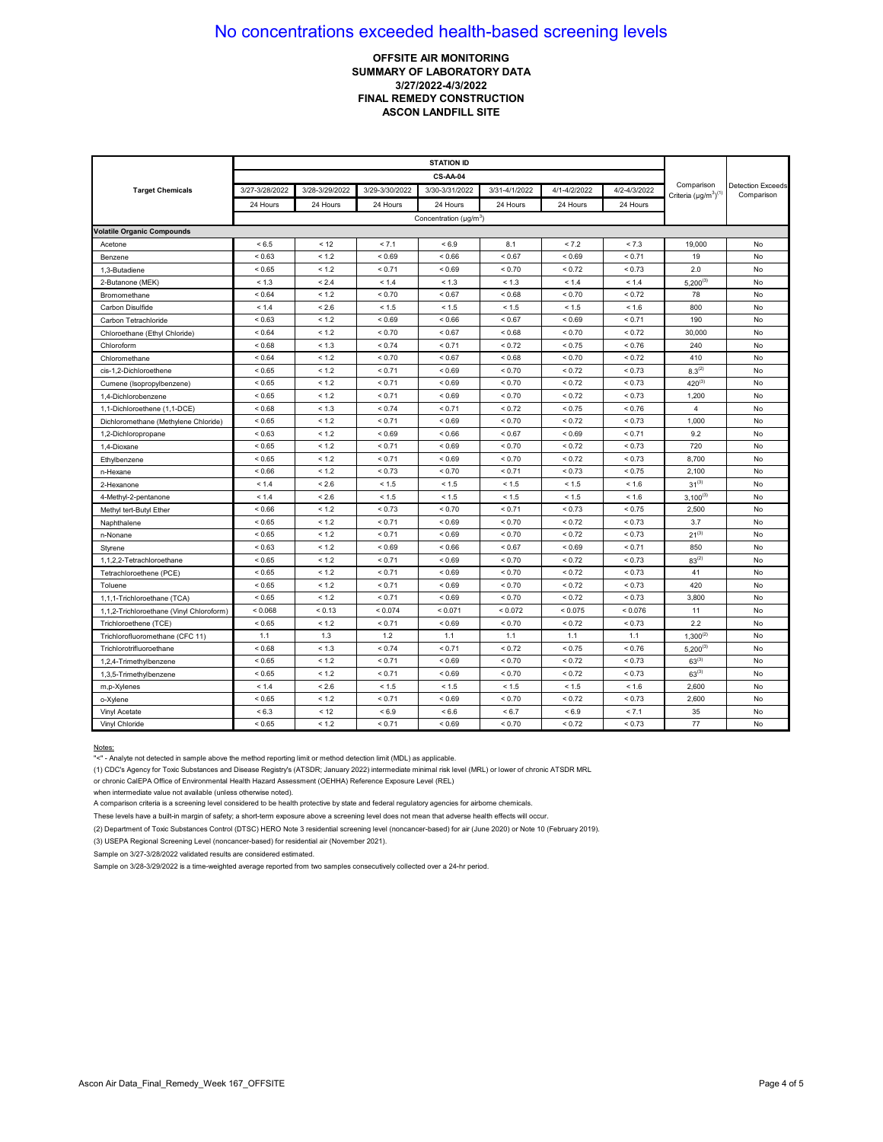## **OFFSITE AIR MONITORING SUMMARY OF LABORATORY DATA 3/27/2022-4/3/2022 FINAL REMEDY CONSTRUCTION ASCON LANDFILL SITE**

|                                          | <b>STATION ID</b> |                |                |                                          |               |              |               |                                            |                                        |
|------------------------------------------|-------------------|----------------|----------------|------------------------------------------|---------------|--------------|---------------|--------------------------------------------|----------------------------------------|
|                                          |                   |                |                |                                          |               |              |               |                                            |                                        |
| <b>Target Chemicals</b>                  | 3/27-3/28/2022    | 3/28-3/29/2022 | 3/29-3/30/2022 | 3/30-3/31/2022                           | 3/31-4/1/2022 | 4/1-4/2/2022 | 4/2-4/3/2022  | Comparison<br>Criteria $(\mu g/m^3)^{(1)}$ | <b>Detection Exceeds</b><br>Comparison |
|                                          | 24 Hours          | 24 Hours       | 24 Hours       | 24 Hours                                 | 24 Hours      | 24 Hours     | 24 Hours      |                                            |                                        |
|                                          |                   |                |                | Concentration ( $\mu$ g/m <sup>3</sup> ) |               |              |               |                                            |                                        |
| <b>Volatile Organic Compounds</b>        |                   |                |                |                                          |               |              |               |                                            |                                        |
| Acetone                                  | < 6.5             | < 12           | < 7.1          | ${}_{5.9}$                               | 8.1           | < 7.2        | < 7.3         | 19,000                                     | No                                     |
| Benzene                                  | ${}_{0.63}$       | < 1.2          | ${}_{0.69}$    | ${}_{0.66}$                              | ${}_{0.67}$   | ${}_{0.69}$  | < 0.71        | 19                                         | No                                     |
| 1,3-Butadiene                            | < 0.65            | < 1.2          | < 0.71         | < 0.69                                   | < 0.70        | < 0.72       | ${}_{0.73}$   | 2.0                                        | No                                     |
| 2-Butanone (MEK)                         | < 1.3             | < 2.4          | < 1.4          | < 1.3                                    | < 1.3         | < 1.4        | < 1.4         | $5,200^{(3)}$                              | No                                     |
| Bromomethane                             | < 0.64            | < 1.2          | < 0.70         | < 0.67                                   | ${}_{0.68}$   | < 0.70       | < 0.72        | 78                                         | No                                     |
| Carbon Disulfide                         | < 1.4             | < 2.6          | < 1.5          | < 1.5                                    | < 1.5         | < 1.5        | < 1.6         | 800                                        | No                                     |
| Carbon Tetrachloride                     | ${}_{0.63}$       | < 1.2          | ${}_{0.69}$    | ${}< 0.66$                               | < 0.67        | ${}_{0.69}$  | < 0.71        | 190                                        | No                                     |
| Chloroethane (Ethyl Chloride)            | ${}_{0.64}$       | < 1.2          | < 0.70         | < 0.67                                   | ${}_{0.68}$   | < 0.70       | < 0.72        | 30,000                                     | No                                     |
| Chloroform                               | < 0.68            | < 1.3          | < 0.74         | < 0.71                                   | < 0.72        | < 0.75       | < 0.76        | 240                                        | No                                     |
| Chloromethane                            | ${}_{0.64}$       | < 1.2          | < 0.70         | < 0.67                                   | < 0.68        | < 0.70       | < 0.72        | 410                                        | No                                     |
| cis-1.2-Dichloroethene                   | < 0.65            | < 1.2          | < 0.71         | < 0.69                                   | < 0.70        | < 0.72       | < 0.73        | $8.3^{(2)}$                                | No                                     |
| Cumene (Isopropylbenzene)                | < 0.65            | < 1.2          | < 0.71         | < 0.69                                   | < 0.70        | ${}_{0.72}$  | < 0.73        | $420^{(3)}$                                | No                                     |
| 1.4-Dichlorobenzene                      | < 0.65            | < 1.2          | < 0.71         | ${}_{0.69}$                              | ${}_{0.70}$   | < 0.72       | < 0.73        | 1,200                                      | No                                     |
| 1,1-Dichloroethene (1,1-DCE)             | ${}_{0.68}$       | < 1.3          | < 0.74         | < 0.71                                   | < 0.72        | ${}_{0.75}$  | ${}_{0.76}$   | $\overline{4}$                             | No                                     |
| Dichloromethane (Methylene Chloride)     | < 0.65            | < 1.2          | < 0.71         | < 0.69                                   | < 0.70        | < 0.72       | < 0.73        | 1,000                                      | No                                     |
| 1,2-Dichloropropane                      | ${}_{0.63}$       | < 1.2          | < 0.69         | < 0.66                                   | < 0.67        | < 0.69       | < 0.71        | 9.2                                        | No                                     |
| 1,4-Dioxane                              | ${}_{<0.65}$      | < 1.2          | < 0.71         | ${}_{0.69}$                              | ${}_{0.70}$   | ${}_{0.72}$  | ${}_{0.73}$   | 720                                        | No                                     |
| Ethylbenzene                             | < 0.65            | < 1.2          | < 0.71         | < 0.69                                   | < 0.70        | < 0.72       | < 0.73        | 8,700                                      | No                                     |
| n-Hexane                                 | < 0.66            | < 1.2          | < 0.73         | < 0.70                                   | < 0.71        | < 0.73       | < 0.75        | 2,100                                      | No                                     |
| 2-Hexanone                               | < 1.4             | < 2.6          | < 1.5          | < 1.5                                    | < 1.5         | < 1.5        | < 1.6         | $31^{(3)}$                                 | No                                     |
| 4-Methyl-2-pentanone                     | < 1.4             | < 2.6          | < 1.5          | < 1.5                                    | < 1.5         | < 1.5        | < 1.6         | $3,100^{(3)}$                              | No                                     |
| Methyl tert-Butyl Ether                  | ${}_{0.66}$       | < 1.2          | < 0.73         | < 0.70                                   | < 0.71        | < 0.73       | < 0.75        | 2,500                                      | No                                     |
| Naphthalene                              | < 0.65            | < 1.2          | < 0.71         | < 0.69                                   | < 0.70        | < 0.72       | < 0.73        | 3.7                                        | No                                     |
| n-Nonane                                 | ${}_{<0.65}$      | < 1.2          | < 0.71         | ${}_{0.69}$                              | < 0.70        | ${}_{0.72}$  | ${}_{0.73}$   | $21^{(3)}$                                 | No                                     |
| Styrene                                  | < 0.63            | < 1.2          | ${}_{0.69}$    | ${}_{0.66}$                              | < 0.67        | ${}_{0.69}$  | < 0.71        | 850                                        | No                                     |
| 1,1,2,2-Tetrachloroethane                | ${}_{<0.65}$      | < 1.2          | < 0.71         | < 0.69                                   | < 0.70        | < 0.72       | < 0.73        | $83^{(2)}$                                 | No                                     |
| Tetrachloroethene (PCE)                  | < 0.65            | < 1.2          | < 0.71         | ${}_{0.69}$                              | ${}_{0.70}$   | ${}_{0.72}$  | < 0.73        | 41                                         | No                                     |
| Toluene                                  | ${}_{<0.65}$      | < 1.2          | < 0.71         | ${}_{0.69}$                              | ${}_{0.70}$   | ${}_{0.72}$  | ${}_{0.73}$   | 420                                        | No                                     |
| 1,1,1-Trichloroethane (TCA)              | ${}< 0.65$        | < 1.2          | < 0.71         | < 0.69                                   | < 0.70        | < 0.72       | < 0.73        | 3,800                                      | No                                     |
| 1,1,2-Trichloroethane (Vinyl Chloroform) | < 0.068           | < 0.13         | < 0.074        | < 0.071                                  | < 0.072       | < 0.075      | < 0.076       | 11                                         | No                                     |
| Trichloroethene (TCE)                    | < 0.65            | < 1.2          | < 0.71         | ${}_{0.69}$                              | ${}_{0.70}$   | < 0.72       | ${}_{0.73}$   | 2.2                                        | No                                     |
| Trichlorofluoromethane (CFC 11)          | 1.1               | 1.3            | 1.2            | 1.1                                      | 1.1           | 1.1          | 1.1           | $1,300^{(2)}$                              | No                                     |
| Trichlorotrifluoroethane                 | < 0.68            | < 1.3          | < 0.74         | < 0.71                                   | ${}_{0.72}$   | < 0.75       | ${}_{0.76}$   | $5,200^{(3)}$                              | No                                     |
| 1,2,4-Trimethylbenzene                   | < 0.65            | < 1.2          | < 0.71         | < 0.69                                   | < 0.70        | < 0.72       | < 0.73        | $63^{(3)}$                                 | No                                     |
| 1,3,5-Trimethylbenzene                   | < 0.65            | < 1.2          | < 0.71         | < 0.69                                   | < 0.70        | ${}_{0.72}$  | < 0.73        | $63^{(3)}$                                 | No                                     |
| m,p-Xylenes                              | < 1.4             | < 2.6          | < 1.5          | < 1.5                                    | < 1.5         | $< 1.5$      | < 1.6         | 2,600                                      | No                                     |
| o-Xylene                                 | ${}_{<0.65}$      | < 1.2          | < 0.71         | < 0.69                                   | < 0.70        | < 0.72       | ${}_{< 0.73}$ | 2,600                                      | No                                     |
| Vinyl Acetate                            | < 6.3             | < 12           | ${}_{5.9}$     | < 6.6                                    | < 6.7         | ${}_{6.9}$   | < 7.1         | 35                                         | No                                     |
| Vinyl Chloride                           | ${}_{<0.65}$      | < 1.2          | < 0.71         | ${}_{0.69}$                              | ${}_{0.70}$   | ${}_{0.72}$  | ${}_{0.73}$   | 77                                         | No                                     |

#### Notes:

"<" - Analyte not detected in sample above the method reporting limit or method detection limit (MDL) as applicable.

(1) CDC's Agency for Toxic Substances and Disease Registry's (ATSDR; January 2022) intermediate minimal risk level (MRL) or lower of chronic ATSDR MRL

or chronic CalEPA Office of Environmental Health Hazard Assessment (OEHHA) Reference Exposure Level (REL)

when intermediate value not available (unless otherwise noted).

A comparison criteria is a screening level considered to be health protective by state and federal regulatory agencies for airborne chemicals.

These levels have a built-in margin of safety; a short-term exposure above a screening level does not mean that adverse health effects will occur.

(2) Department of Toxic Substances Control (DTSC) HERO Note 3 residential screening level (noncancer-based) for air (June 2020) or Note 10 (February 2019).

(3) USEPA Regional Screening Level (noncancer-based) for residential air (November 2021).

Sample on 3/27-3/28/2022 validated results are considered estimated.

Sample on 3/28-3/29/2022 is a time-weighted average reported from two samples consecutively collected over a 24-hr period.